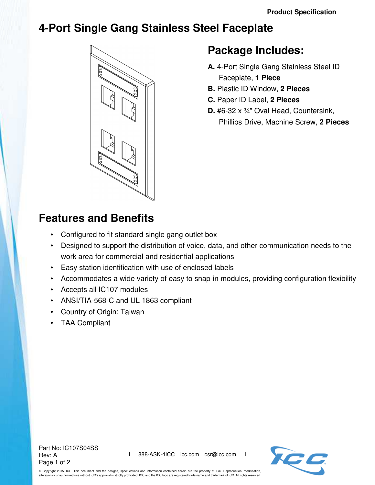## **4-Port Single Gang Stainless Steel Faceplate**



## **Package Includes:**

- **A.** 4-Port Single Gang Stainless Steel ID Faceplate, **1 Piece**
- **B.** Plastic ID Window, **2 Pieces**
- **C.** Paper ID Label, **2 Pieces**
- **D.** #6-32 x ¾" Oval Head, Countersink, Phillips Drive, Machine Screw, **2 Pieces**

## **Features and Benefits**

- Configured to fit standard single gang outlet box
- Designed to support the distribution of voice, data, and other communication needs to the work area for commercial and residential applications
- Easy station identification with use of enclosed labels
- Accommodates a wide variety of easy to snap-in modules, providing configuration flexibility
- Accepts all IC107 modules
- ANSI/TIA-568-C and UL 1863 compliant
- Country of Origin: Taiwan
- TAA Compliant

Part No: IC107S04SS Rev: A Page 1 of 2



© Copyright 2015, ICC. This document and the designs, specifications and information contained herein are the property of ICC. Reproduction, modification, alteration or unauthorized use without ICC's approval is strictly prohibited. ICC and the ICC logo are registered trade name and trademark of ICC. All rights reserved.